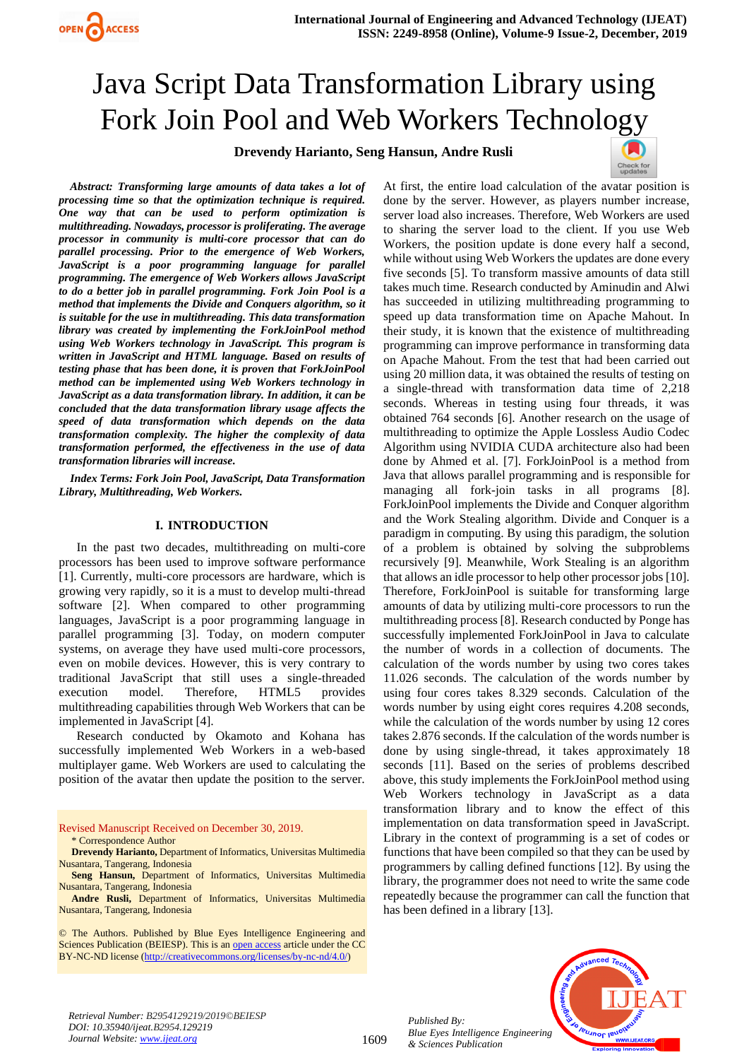# Java Script Data Transformation Library using Fork Join Pool and Web Workers Technology

**Drevendy Harianto, Seng Hansun, Andre Rusli**



*Abstract: Transforming large amounts of data takes a lot of processing time so that the optimization technique is required. One way that can be used to perform optimization is multithreading. Nowadays, processor is proliferating. The average processor in community is multi-core processor that can do parallel processing. Prior to the emergence of Web Workers, JavaScript is a poor programming language for parallel programming. The emergence of Web Workers allows JavaScript to do a better job in parallel programming. Fork Join Pool is a method that implements the Divide and Conquers algorithm, so it is suitable for the use in multithreading. This data transformation library was created by implementing the ForkJoinPool method using Web Workers technology in JavaScript. This program is written in JavaScript and HTML language. Based on results of testing phase that has been done, it is proven that ForkJoinPool method can be implemented using Web Workers technology in JavaScript as a data transformation library. In addition, it can be concluded that the data transformation library usage affects the speed of data transformation which depends on the data transformation complexity. The higher the complexity of data transformation performed, the effectiveness in the use of data transformation libraries will increase.*

*Index Terms: Fork Join Pool, JavaScript, Data Transformation Library, Multithreading, Web Workers.* 

#### **I. INTRODUCTION**

In the past two decades, multithreading on multi-core processors has been used to improve software performance [1]. Currently, multi-core processors are hardware, which is growing very rapidly, so it is a must to develop multi-thread software [2]. When compared to other programming languages, JavaScript is a poor programming language in parallel programming [3]. Today, on modern computer systems, on average they have used multi-core processors, even on mobile devices. However, this is very contrary to traditional JavaScript that still uses a single-threaded execution model. Therefore, HTML5 provides multithreading capabilities through Web Workers that can be implemented in JavaScript [4].

Research conducted by Okamoto and Kohana has successfully implemented Web Workers in a web-based multiplayer game. Web Workers are used to calculating the position of the avatar then update the position to the server.

Revised Manuscript Received on December 30, 2019.

\* Correspondence Author

**Andre Rusli,** Department of Informatics, Universitas Multimedia Nusantara, Tangerang, Indonesia

© The Authors. Published by Blue Eyes Intelligence Engineering and Sciences Publication (BEIESP). This is a[n open access](https://www.openaccess.nl/en/open-publications) article under the CC BY-NC-ND license [\(http://creativecommons.org/licenses/by-nc-nd/4.0/\)](http://creativecommons.org/licenses/by-nc-nd/4.0/)

At first, the entire load calculation of the avatar position is done by the server. However, as players number increase, server load also increases. Therefore, Web Workers are used to sharing the server load to the client. If you use Web Workers, the position update is done every half a second, while without using Web Workers the updates are done every five seconds [5]. To transform massive amounts of data still takes much time. Research conducted by Aminudin and Alwi has succeeded in utilizing multithreading programming to speed up data transformation time on Apache Mahout. In their study, it is known that the existence of multithreading programming can improve performance in transforming data on Apache Mahout. From the test that had been carried out using 20 million data, it was obtained the results of testing on a single-thread with transformation data time of 2,218 seconds. Whereas in testing using four threads, it was obtained 764 seconds [6]. Another research on the usage of multithreading to optimize the Apple Lossless Audio Codec Algorithm using NVIDIA CUDA architecture also had been done by Ahmed et al. [7]. ForkJoinPool is a method from Java that allows parallel programming and is responsible for managing all fork-join tasks in all programs [8]. ForkJoinPool implements the Divide and Conquer algorithm and the Work Stealing algorithm. Divide and Conquer is a paradigm in computing. By using this paradigm, the solution of a problem is obtained by solving the subproblems recursively [9]. Meanwhile, Work Stealing is an algorithm that allows an idle processor to help other processor jobs [10]. Therefore, ForkJoinPool is suitable for transforming large amounts of data by utilizing multi-core processors to run the multithreading process [8]. Research conducted by Ponge has successfully implemented ForkJoinPool in Java to calculate the number of words in a collection of documents. The calculation of the words number by using two cores takes 11.026 seconds. The calculation of the words number by using four cores takes 8.329 seconds. Calculation of the words number by using eight cores requires 4.208 seconds, while the calculation of the words number by using 12 cores takes 2.876 seconds. If the calculation of the words number is done by using single-thread, it takes approximately 18 seconds [11]. Based on the series of problems described above, this study implements the ForkJoinPool method using Web Workers technology in JavaScript as a data transformation library and to know the effect of this implementation on data transformation speed in JavaScript. Library in the context of programming is a set of codes or functions that have been compiled so that they can be used by programmers by calling defined functions [12]. By using the library, the programmer does not need to write the same code repeatedly because the programmer can call the function that has been defined in a library [13].



*Published By: Blue Eyes Intelligence Engineering & Sciences Publication* 



**Drevendy Harianto,** Department of Informatics, Universitas Multimedia Nusantara, Tangerang, Indonesia

**Seng Hansun,** Department of Informatics, Universitas Multimedia Nusantara, Tangerang, Indonesia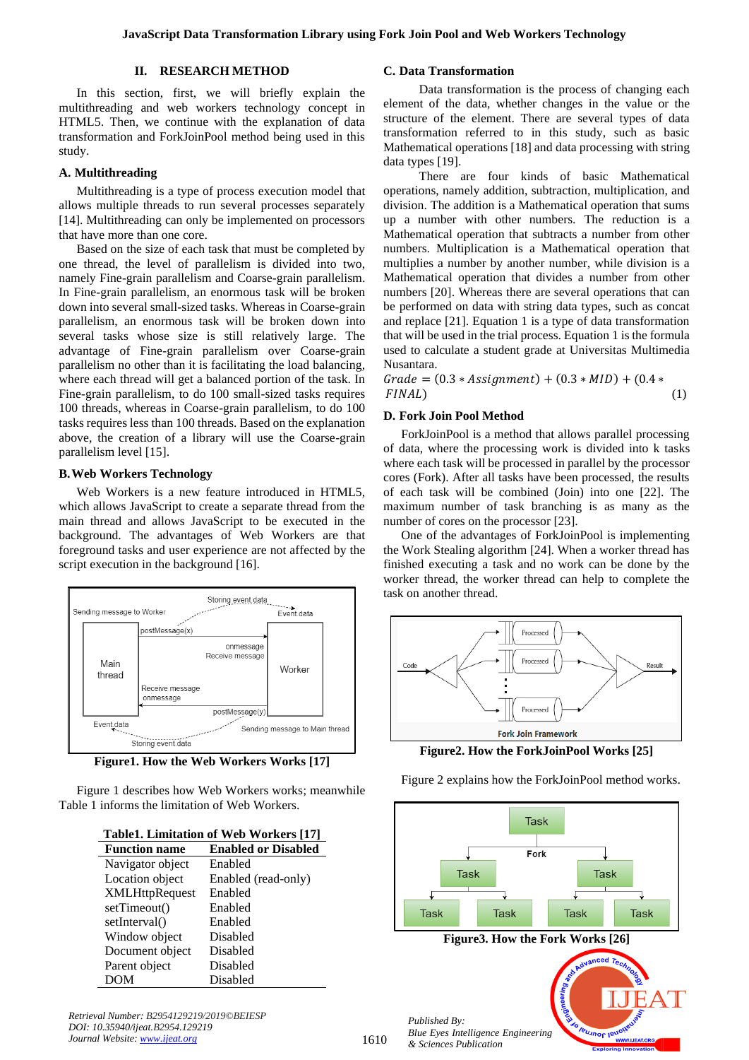#### **II. RESEARCH METHOD**

In this section, first, we will briefly explain the multithreading and web workers technology concept in HTML5. Then, we continue with the explanation of data transformation and ForkJoinPool method being used in this study.

## **A. Multithreading**

Multithreading is a type of process execution model that allows multiple threads to run several processes separately [14]. Multithreading can only be implemented on processors that have more than one core.

Based on the size of each task that must be completed by one thread, the level of parallelism is divided into two, namely Fine-grain parallelism and Coarse-grain parallelism. In Fine-grain parallelism, an enormous task will be broken down into several small-sized tasks. Whereas in Coarse-grain parallelism, an enormous task will be broken down into several tasks whose size is still relatively large. The advantage of Fine-grain parallelism over Coarse-grain parallelism no other than it is facilitating the load balancing, where each thread will get a balanced portion of the task. In Fine-grain parallelism, to do 100 small-sized tasks requires 100 threads, whereas in Coarse-grain parallelism, to do 100 tasks requires less than 100 threads. Based on the explanation above, the creation of a library will use the Coarse-grain parallelism level [15].

## **B.Web Workers Technology**

Web Workers is a new feature introduced in HTML5, which allows JavaScript to create a separate thread from the main thread and allows JavaScript to be executed in the background. The advantages of Web Workers are that foreground tasks and user experience are not affected by the script execution in the background [16].



**Figure1. How the Web Workers Works [17]**

Figure 1 describes how Web Workers works; meanwhile Table 1 informs the limitation of Web Workers.

|  | Table1. Limitation of Web Workers [17] |  |  |  |  |  |
|--|----------------------------------------|--|--|--|--|--|
|--|----------------------------------------|--|--|--|--|--|

| <b>Function name</b>  | <b>Enabled or Disabled</b> |
|-----------------------|----------------------------|
| Navigator object      | Enabled                    |
| Location object       | Enabled (read-only)        |
| <b>XMLHttpRequest</b> | Enabled                    |
| setTimeout()          | Enabled                    |
| setInterval()         | Enabled                    |
| Window object         | Disabled                   |
| Document object       | Disabled                   |
| Parent object         | Disabled                   |
| <b>DOM</b>            | Disabled                   |

*Retrieval Number: B2954129219/2019©BEIESP DOI: 10.35940/ijeat.B2954.129219 Journal Website[: www.ijeat.org](http://www.ijeat.org/)*

#### **C. Data Transformation**

Data transformation is the process of changing each element of the data, whether changes in the value or the structure of the element. There are several types of data transformation referred to in this study, such as basic Mathematical operations [18] and data processing with string data types [19].

There are four kinds of basic Mathematical operations, namely addition, subtraction, multiplication, and division. The addition is a Mathematical operation that sums up a number with other numbers. The reduction is a Mathematical operation that subtracts a number from other numbers. Multiplication is a Mathematical operation that multiplies a number by another number, while division is a Mathematical operation that divides a number from other numbers [20]. Whereas there are several operations that can be performed on data with string data types, such as concat and replace [21]. Equation 1 is a type of data transformation that will be used in the trial process. Equation 1 is the formula used to calculate a student grade at Universitas Multimedia Nusantara.

 $Grade = (0.3 * Assignment) + (0.3 * MID) + (0.4 *$  $FINAL$ ) (1)

#### **D. Fork Join Pool Method**

ForkJoinPool is a method that allows parallel processing of data, where the processing work is divided into k tasks where each task will be processed in parallel by the processor cores (Fork). After all tasks have been processed, the results of each task will be combined (Join) into one [22]. The maximum number of task branching is as many as the number of cores on the processor [23].

One of the advantages of ForkJoinPool is implementing the Work Stealing algorithm [24]. When a worker thread has finished executing a task and no work can be done by the worker thread, the worker thread can help to complete the task on another thread.



**Figure2. How the ForkJoinPool Works [25]**

Figure 2 explains how the ForkJoinPool method works.

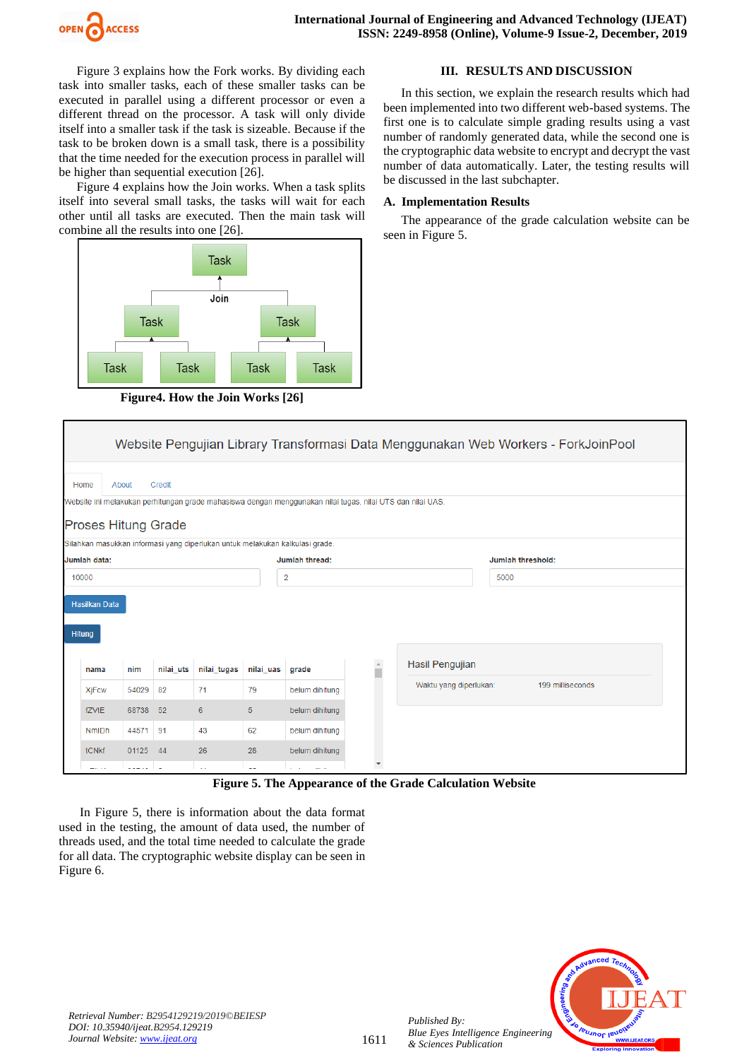

Figure 3 explains how the Fork works. By dividing each task into smaller tasks, each of these smaller tasks can be executed in parallel using a different processor or even a different thread on the processor. A task will only divide itself into a smaller task if the task is sizeable. Because if the task to be broken down is a small task, there is a possibility that the time needed for the execution process in parallel will be higher than sequential execution [26].

Figure 4 explains how the Join works. When a task splits itself into several small tasks, the tasks will wait for each other until all tasks are executed. Then the main task will combine all the results into one [26].



**Figure4. How the Join Works [26]**

## **III. RESULTS AND DISCUSSION**

In this section, we explain the research results which had been implemented into two different web-based systems. The first one is to calculate simple grading results using a vast number of randomly generated data, while the second one is the cryptographic data website to encrypt and decrypt the vast number of data automatically. Later, the testing results will be discussed in the last subchapter.

### **A. Implementation Results**

The appearance of the grade calculation website can be seen in Figure 5.

|                                                                                                                                          | Website Pengujian Library Transformasi Data Menggunakan Web Workers - ForkJoinPool |       |           |                                                                              |                                |                |          |                                                                                      |                   |                  |  |
|------------------------------------------------------------------------------------------------------------------------------------------|------------------------------------------------------------------------------------|-------|-----------|------------------------------------------------------------------------------|--------------------------------|----------------|----------|--------------------------------------------------------------------------------------|-------------------|------------------|--|
|                                                                                                                                          | Credit<br>About<br>Home                                                            |       |           |                                                                              |                                |                |          |                                                                                      |                   |                  |  |
| Website ini melakukan perhitungan grade mahasiswa dengan menggunakan nilai tugas, nilai UTS dan nilai UAS.<br><b>Proses Hitung Grade</b> |                                                                                    |       |           |                                                                              |                                |                |          |                                                                                      |                   |                  |  |
|                                                                                                                                          |                                                                                    |       |           | Silahkan masukkan informasi yang diperlukan untuk melakukan kalkulasi grade. |                                |                |          |                                                                                      |                   |                  |  |
|                                                                                                                                          | Jumlah data:                                                                       |       |           |                                                                              |                                | Jumlah thread: |          |                                                                                      | Jumlah threshold: |                  |  |
| 10000                                                                                                                                    |                                                                                    |       |           |                                                                              |                                | $\overline{2}$ |          |                                                                                      | 5000              |                  |  |
|                                                                                                                                          | <b>Hasilkan Data</b><br><b>Hitung</b>                                              |       |           |                                                                              |                                |                |          |                                                                                      |                   |                  |  |
|                                                                                                                                          | nama                                                                               | nim   | nilai uts | nilai tugas                                                                  | nilai uas                      | grade          | $\Delta$ | Hasil Pengujian                                                                      |                   |                  |  |
|                                                                                                                                          | <b>XjFcw</b>                                                                       | 54029 | 82        | 71                                                                           | 79                             | belum dihitung |          | Waktu yang diperlukan:                                                               |                   | 199 milliseconds |  |
|                                                                                                                                          | fZVtE                                                                              | 68738 | 52        | 6                                                                            | 5                              | belum dihitung |          |                                                                                      |                   |                  |  |
|                                                                                                                                          | <b>NmIDh</b>                                                                       | 44571 | 91        | 43                                                                           | 62                             | belum dihitung |          |                                                                                      |                   |                  |  |
|                                                                                                                                          | tCNkf                                                                              | 01125 | 44        | 26                                                                           | 28                             | belum dihitung |          |                                                                                      |                   |                  |  |
|                                                                                                                                          | -- - -                                                                             |       | <b>La</b> | i.                                                                           | $\sim$ $\sim$                  | $1.11 - 1.1$   |          |                                                                                      |                   |                  |  |
|                                                                                                                                          |                                                                                    |       |           | T.Y                                                                          | $F$ $m$ , $\lambda$ , $\ldots$ |                |          | $P(A) = Q_{\text{max}}(A) = Q_{\text{max}}(A) = A_{\text{max}}(A) = \text{W}(A) = A$ |                   |                  |  |

**Figure 5. The Appearance of the Grade Calculation Website**

In Figure 5, there is information about the data format used in the testing, the amount of data used, the number of threads used, and the total time needed to calculate the grade for all data. The cryptographic website display can be seen in Figure 6.



*Published By:*

*& Sciences Publication*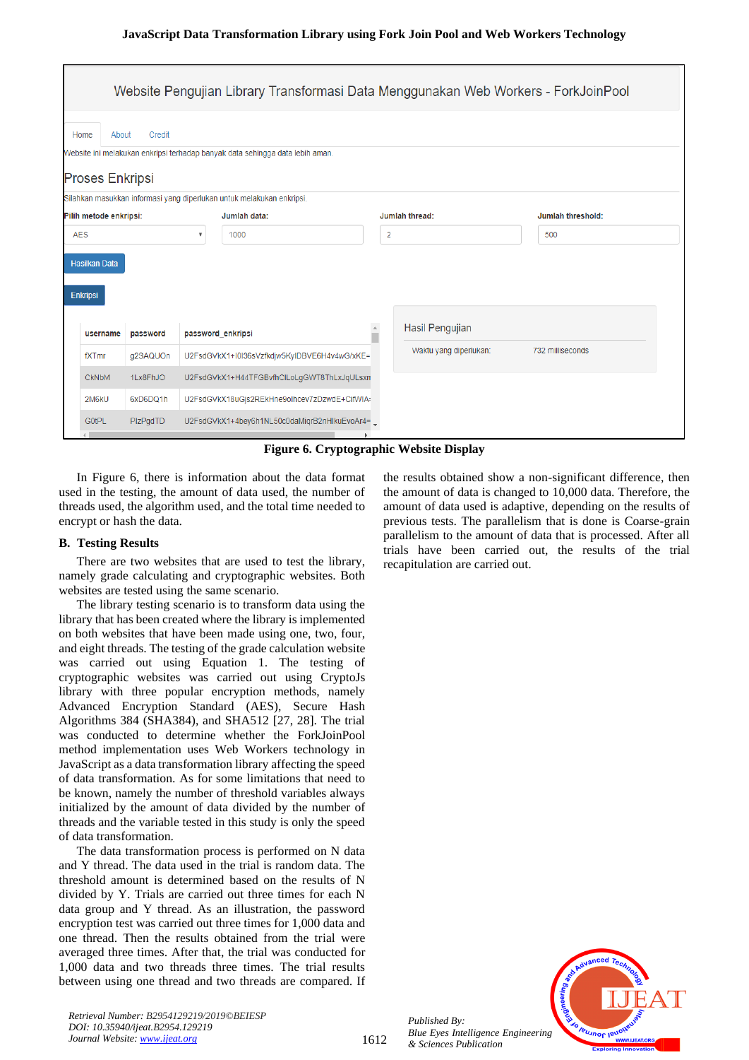| Website Pengujian Library Transformasi Data Menggunakan Web Workers - ForkJoinPool                                                 |                                           |                           |                                                                       |  |                        |  |                   |  |  |  |
|------------------------------------------------------------------------------------------------------------------------------------|-------------------------------------------|---------------------------|-----------------------------------------------------------------------|--|------------------------|--|-------------------|--|--|--|
| Credit<br>Home<br>About<br>Website ini melakukan enkripsi terhadap banyak data sehingga data lebih aman.<br><b>Proses Enkripsi</b> |                                           |                           |                                                                       |  |                        |  |                   |  |  |  |
|                                                                                                                                    |                                           |                           | Silahkan masukkan informasi yang diperlukan untuk melakukan enkripsi. |  |                        |  |                   |  |  |  |
| Pilih metode enkripsi:                                                                                                             |                                           |                           | Jumlah data:                                                          |  | Jumlah thread:         |  | Jumlah threshold: |  |  |  |
| <b>AES</b>                                                                                                                         |                                           | $\boldsymbol{\mathrm{v}}$ | 1000                                                                  |  | $\overline{2}$         |  | 500               |  |  |  |
| <b>Hasilkan Data</b><br><b>Enkripsi</b>                                                                                            |                                           |                           |                                                                       |  |                        |  |                   |  |  |  |
|                                                                                                                                    | password_enkripsi<br>username<br>password |                           |                                                                       |  | Hasil Pengujian        |  |                   |  |  |  |
| fXTmr                                                                                                                              | g2SAQUOn                                  |                           | U2FsdGVkX1+I0I36sVzfkdjw5KyIDBVE6H4v4wG/xKE=                          |  | Waktu yang diperlukan: |  | 732 milliseconds  |  |  |  |
| <b>CKNbM</b>                                                                                                                       | 1Lx8FhJO                                  |                           | U2FsdGVkX1+H44TFGBvfhClLoLgGWT8ThLxJqULsxn                            |  |                        |  |                   |  |  |  |
| 2M6kU                                                                                                                              | 6xD6DQ1h                                  |                           | U2FsdGVkX18uGjs2REkHne9olhcev7zDzwdE+CifWlA-                          |  |                        |  |                   |  |  |  |
| G0tPL                                                                                                                              | PIzPgdTD                                  |                           | U2FsdGVkX1+4bey6h1NL50c0daMiqrB2nHlkuEvoAr4=                          |  |                        |  |                   |  |  |  |

**Figure 6. Cryptographic Website Display**

In Figure 6, there is information about the data format used in the testing, the amount of data used, the number of threads used, the algorithm used, and the total time needed to encrypt or hash the data.

## **B. Testing Results**

There are two websites that are used to test the library, namely grade calculating and cryptographic websites. Both websites are tested using the same scenario.

The library testing scenario is to transform data using the library that has been created where the library is implemented on both websites that have been made using one, two, four, and eight threads. The testing of the grade calculation website was carried out using Equation 1. The testing of cryptographic websites was carried out using CryptoJs library with three popular encryption methods, namely Advanced Encryption Standard (AES), Secure Hash Algorithms 384 (SHA384), and SHA512 [27, 28]. The trial was conducted to determine whether the ForkJoinPool method implementation uses Web Workers technology in JavaScript as a data transformation library affecting the speed of data transformation. As for some limitations that need to be known, namely the number of threshold variables always initialized by the amount of data divided by the number of threads and the variable tested in this study is only the speed of data transformation.

The data transformation process is performed on N data and Y thread. The data used in the trial is random data. The threshold amount is determined based on the results of N divided by Y. Trials are carried out three times for each N data group and Y thread. As an illustration, the password encryption test was carried out three times for 1,000 data and one thread. Then the results obtained from the trial were averaged three times. After that, the trial was conducted for 1,000 data and two threads three times. The trial results between using one thread and two threads are compared. If the results obtained show a non-significant difference, then the amount of data is changed to 10,000 data. Therefore, the amount of data used is adaptive, depending on the results of previous tests. The parallelism that is done is Coarse-grain parallelism to the amount of data that is processed. After all trials have been carried out, the results of the trial recapitulation are carried out.



*Published By:*

*& Sciences Publication*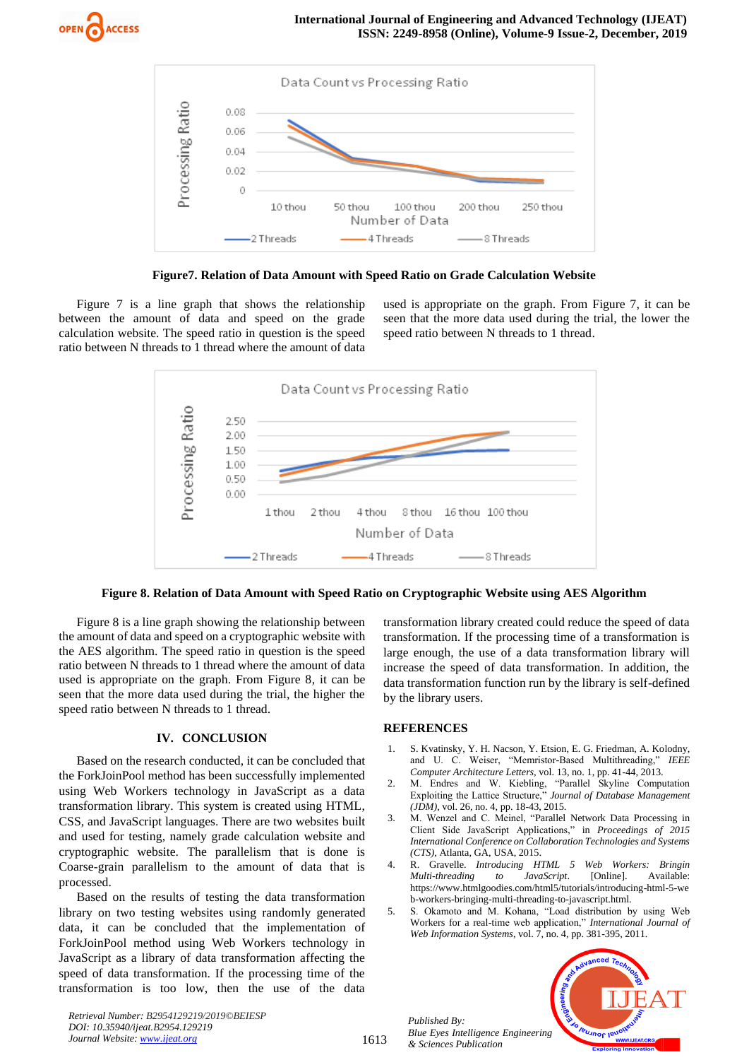



**Figure7. Relation of Data Amount with Speed Ratio on Grade Calculation Website**

Figure 7 is a line graph that shows the relationship between the amount of data and speed on the grade calculation website. The speed ratio in question is the speed ratio between N threads to 1 thread where the amount of data used is appropriate on the graph. From Figure 7, it can be seen that the more data used during the trial, the lower the speed ratio between N threads to 1 thread.





Figure 8 is a line graph showing the relationship between the amount of data and speed on a cryptographic website with the AES algorithm. The speed ratio in question is the speed ratio between N threads to 1 thread where the amount of data used is appropriate on the graph. From Figure 8, it can be seen that the more data used during the trial, the higher the speed ratio between N threads to 1 thread.

## **IV. CONCLUSION**

Based on the research conducted, it can be concluded that the ForkJoinPool method has been successfully implemented using Web Workers technology in JavaScript as a data transformation library. This system is created using HTML, CSS, and JavaScript languages. There are two websites built and used for testing, namely grade calculation website and cryptographic website. The parallelism that is done is Coarse-grain parallelism to the amount of data that is processed.

Based on the results of testing the data transformation library on two testing websites using randomly generated data, it can be concluded that the implementation of ForkJoinPool method using Web Workers technology in JavaScript as a library of data transformation affecting the speed of data transformation. If the processing time of the transformation is too low, then the use of the data

transformation library created could reduce the speed of data transformation. If the processing time of a transformation is large enough, the use of a data transformation library will increase the speed of data transformation. In addition, the data transformation function run by the library is self-defined by the library users.

## **REFERENCES**

- 1. S. Kvatinsky, Y. H. Nacson, Y. Etsion, E. G. Friedman, A. Kolodny, and U. C. Weiser, "Memristor-Based Multithreading," *IEEE Computer Architecture Letters,* vol. 13, no. 1, pp. 41-44, 2013.
- 2. M. Endres and W. Kiebling, "Parallel Skyline Computation Exploiting the Lattice Structure," *Journal of Database Management (JDM),* vol. 26, no. 4, pp. 18-43, 2015.
- 3. M. Wenzel and C. Meinel, "Parallel Network Data Processing in Client Side JavaScript Applications," in *Proceedings of 2015 International Conference on Collaboration Technologies and Systems (CTS)*, Atlanta, GA, USA, 2015.
- 4. R. Gravelle. *Introducing HTML 5 Web Workers: Bringin Multi-threading to JavaScript*. [Online]. Available: https://www.htmlgoodies.com/html5/tutorials/introducing-html-5-we b-workers-bringing-multi-threading-to-javascript.html.
- 5. S. Okamoto and M. Kohana, "Load distribution by using Web Workers for a real-time web application," *International Journal of Web Information Systems*, vol. 7, no. 4, pp. 381-395, 2011.



*Retrieval Number: B2954129219/2019©BEIESP DOI: 10.35940/ijeat.B2954.129219 Journal Website[: www.ijeat.org](http://www.ijeat.org/)*

*Published By:*

*& Sciences Publication*